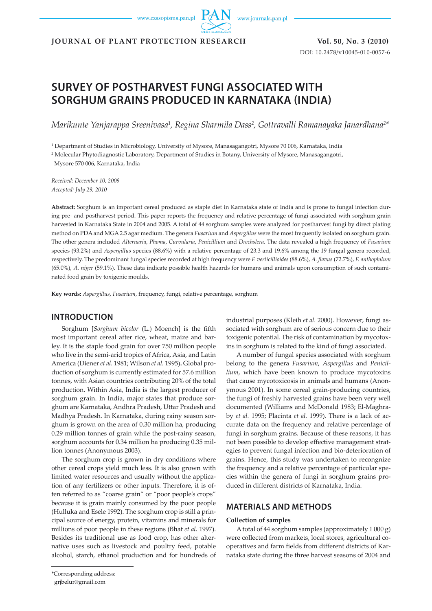www.czasopisma.pan.pl

www.journals.pan.pl

**JOURNAL OF PLANT PROTECTION RESEARCH Vol. 50, No. 3 (2010)**

DOI: 10.2478/v10045-010-0057-6

# **SURVEY OF POSTHARVEST FUNGI ASSOCIATED WITH SORGHUM GRAINS PRODUCED IN KARNATAKA (INDIA)**

Marikunte Yanjarappa Sreenivasa<sup>1</sup>, Regina Sharmila Dass<sup>2</sup>, Gottravalli Ramanayaka Janardhana<sup>2</sup>\*

1 Department of Studies in Microbiology, University of Mysore, Manasagangotri, Mysore 70 006, Karnataka, India

2 Molecular Phytodiagnostic Laboratory, Department of Studies in Botany, University of Mysore, Manasagangotri,

Mysore 570 006, Karnataka, India

*Received: December 10, 2009 Accepted: July 29, 2010*

**Abstract:** Sorghum is an important cereal produced as staple diet in Karnataka state of India and is prone to fungal infection during pre- and postharvest period. This paper reports the frequency and relative percentage of fungi associated with sorghum grain harvested in Karnataka State in 2004 and 2005. A total of 44 sorghum samples were analyzed for postharvest fungi by direct plating method on PDA and MGA 2.5 agar medium. The genera *Fusarium* and *Aspergillus* were the most frequently isolated on sorghum grain*.*  The other genera included *Alternaria*, *Phoma*, *Curvularia*, *Penicillium* and *Drechslera*. The data revealed a high frequency of *Fusarium* species (93.2%) and *Aspergillus* species (88.6%) with a relative percentage of 23.3 and 19.6% among the 19 fungal genera recorded, respectively. The predominant fungal species recorded at high frequency were *F. verticillioides* (88.6%), *A. flavus* (72.7%), *F. anthophilum*  (65.0%), *A. niger* (59.1%). These data indicate possible health hazards for humans and animals upon consumption of such contaminated food grain by toxigenic moulds.

**Key words:** *Aspergillus*, *Fusarium*, frequency, fungi, relative percentage, sorghum

## **INTRODUCTION**

Sorghum [*Sorghum bicolor* (L.) Moench] is the fifth most important cereal after rice, wheat, maize and barley. It is the staple food grain for over 750 million people who live in the semi-arid tropics of Africa, Asia, and Latin America (Diener *et al.* 1981; Wilson *et al.* 1995)**.** Global production of sorghum is currently estimated for 57.6 million tonnes, with Asian countries contributing 20% of the total production. Within Asia, India is the largest producer of sorghum grain. In India, major states that produce sorghum are Karnataka, Andhra Pradesh, Uttar Pradesh and Madhya Pradesh. In Karnataka, during rainy season sorghum is grown on the area of 0.30 million ha, producing 0.29 million tonnes of grain while the post-rainy season, sorghum accounts for 0.34 million ha producing 0.35 million tonnes (Anonymous 2003).

The sorghum crop is grown in dry conditions where other cereal crops yield much less. It is also grown with limited water resources and usually without the application of any fertilizers or other inputs. Therefore, it is often referred to as "coarse grain" or "poor people's crops" because it is grain mainly consumed by the poor people (Hulluka and Esele 1992). The sorghum crop is still a principal source of energy, protein, vitamins and minerals for millions of poor people in these regions (Bhat *et al.* 1997). Besides its traditional use as food crop, has other alternative uses such as livestock and poultry feed, potable alcohol, starch, ethanol production and for hundreds of

industrial purposes (Kleih *et al.* 2000). However, fungi associated with sorghum are of serious concern due to their toxigenic potential. The risk of contamination by mycotoxins in sorghum is related to the kind of fungi associated.

A number of fungal species associated with sorghum belong to the genera *Fusarium*, *Aspergillus* and *Penicillium*, which have been known to produce mycotoxins that cause mycotoxicosis in animals and humans (Anonymous 2001). In some cereal grain-producing countries, the fungi of freshly harvested grains have been very well documented (Williams and McDonald 1983; El-Maghraby *et al.* 1995; Placinta *et al.* 1999). There is a lack of accurate data on the frequency and relative percentage of fungi in sorghum grains. Because of these reasons, it has not been possible to develop effective management strategies to prevent fungal infection and bio-deterioration of grains. Hence, this study was undertaken to recongnize the frequency and a relative percentage of particular species within the genera of fungi in sorghum grains produced in different districts of Karnataka, India.

# **MATERIALS AND METHODS**

#### **Collection of samples**

A total of 44 sorghum samples (approximately 1 000 g) were collected from markets, local stores, agricultural cooperatives and farm fields from different districts of Karnataka state during the three harvest seasons of 2004 and

\*Corresponding address:

grjbelur@gmail.com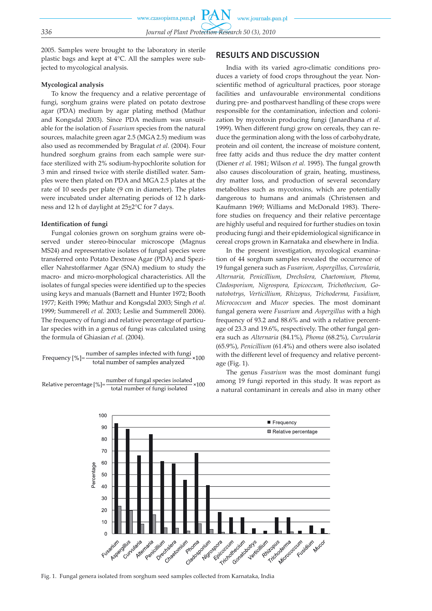2005. Samples were brought to the laboratory in sterile plastic bags and kept at 4°C. All the samples were subjected to mycological analysis.

#### **Mycological analysis**

To know the frequency and a relative percentage of fungi, sorghum grains were plated on potato dextrose agar (PDA) medium by agar plating method (Mathur and Kongsdal 2003). Since PDA medium was unsuitable for the isolation of *Fusarium* species from the natural sources, malachite green agar 2.5 (MGA 2.5) medium was also used as recommended by Bragulat *et al.* (2004). Four hundred sorghum grains from each sample were surface sterilized with 2% sodium-hypochlorite solution for 3 min and rinsed twice with sterile distilled water. Samples were then plated on PDA and MGA 2.5 plates at the rate of 10 seeds per plate (9 cm in diameter). The plates were incubated under alternating periods of 12 h darkness and 12 h of daylight at 25<sup>+2</sup>°C for 7 days.

#### **Identification of fungi**

Fungal colonies grown on sorghum grains were observed under stereo-binocular microscope (Magnus MS24) and representative isolates of fungal species were transferred onto Potato Dextrose Agar (PDA) and Spezieller Nahrstoffarmer Agar (SNA) medium to study the macro- and micro-morphological characteristics. All the isolates of fungal species were identified up to the species using keys and manuals (Barnett and Hunter 1972; Booth 1977; Keith 1996; Mathur and Kongsdal 2003; Singh *et al.* 1999; Summerell *et al.* 2003; Leslie and Summerell 2006). The frequency of fungi and relative percentage of particular species with in a genus of fungi was calculated using the formula of Ghiasian *et al.* (2004).

Frequency 
$$
[%]
$$
 =  $\frac{number\ of\ samples\ infected\ with\ fungi}{total\ number\ of\ samples\ analyzed} \times 100$ 

number of fungal species isolated Relative percentage [%]=  $100$ total number of fungi isolated

# **RESULTS AND DISCUSSION**

India with its varied agro-climatic conditions produces a variety of food crops throughout the year. Nonscientific method of agricultural practices, poor storage facilities and unfavourable environmental conditions during pre- and postharvest handling of these crops were responsible for the contamination, infection and colonization by mycotoxin producing fungi (Janardhana *et al.* 1999). When different fungi grow on cereals, they can reduce the germination along with the loss of carbohydrate, protein and oil content, the increase of moisture content, free fatty acids and thus reduce the dry matter content (Diener *et al.* 1981; Wilson *et al.* 1995). The fungal growth also causes discolouration of grain, heating, mustiness, dry matter loss, and production of several secondary metabolites such as mycotoxins, which are potentially dangerous to humans and animals (Christensen and Kaufmann 1969; Williams and McDonald 1983). Therefore studies on frequency and their relative percentage are highly useful and required for further studies on toxin producing fungi and their epidemiological significance in cereal crops grown in Karnataka and elsewhere in India.

In the present investigation, mycological examination of 44 sorghum samples revealed the occurrence of 19 fungal genera such as *Fusarium, Aspergillus, Curvularia, Alternaria, Penicillium, Drechslera, Chaetomium, Phoma, Cladosporium, Nigrospora, Epicoccum, Trichothecium, Gonatobotrys, Verticillium, Rhizopus, Trichoderma, Fusidium, Micrococcum* and *Mucor* species. The most dominant fungal genera were *Fusarium* and *Aspergillus* with a high frequency of 93.2 and 88.6% and with a relative percentage of 23.3 and 19.6%, respectively. The other fungal genera such as *Alternaria* (84.1%), *Phoma* (68.2%), *Curvularia*  (65.9%), *Penicillium* (61.4%) and others were also isolated with the different level of frequency and relative percentage (Fig. 1).

The genus *Fusarium* was the most dominant fungi among 19 fungi reported in this study. It was report as a natural contaminant in cereals and also in many other



Fig. 1. Fungal genera isolated from sorghum seed samples collected from Karnataka, India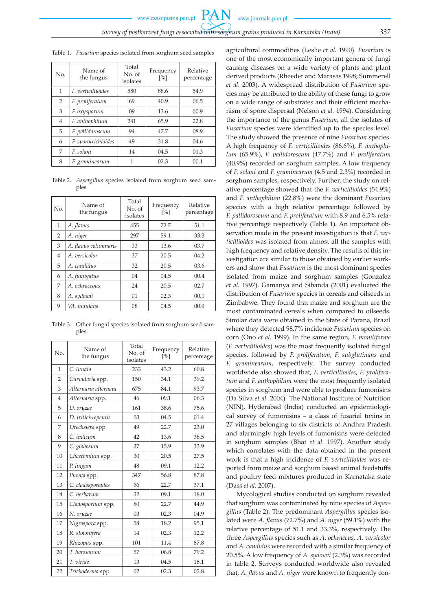www.czasopisma.pan.pl

Table 1. *Fusarium* species isolated from sorghum seed samples

| No.            | Name of<br>the fungus     | Total<br>No. of<br>isolates | Frequency<br>$\lceil\% \rceil$ | Relative<br>percentage |
|----------------|---------------------------|-----------------------------|--------------------------------|------------------------|
| $\mathbf{1}$   | <i>F. verticillioides</i> | 580                         | 88.6                           | 54.9                   |
| 2              | F. proliferatum           | 69                          | 40.9                           | 06.5                   |
| 3              | F. oxysporum              | 09                          | 13.6                           | 00.9                   |
| $\overline{4}$ | F. anthophilum            | 241                         | 65.9                           | 22.8                   |
| 5              | F. pallidoroseum          | 94                          | 47.7                           | 08.9                   |
| 6              | F. sporotrichioides       | 49                          | 31.8                           | 04.6                   |
| 7              | F. solani                 | 14                          | 04.5                           | 01.3                   |
| 8              | F. graminearum            | 1                           | 02.3                           | 00.1                   |

Table 2. *Aspergillus* species isolated from sorghum seed samples

| No.            | Name of<br>the fungus | Total<br>No. of<br>isolates | Frequency<br>$\lceil\% \rceil$ | Relative<br>percentage |  |  |  |
|----------------|-----------------------|-----------------------------|--------------------------------|------------------------|--|--|--|
| 1              | A. flavus             | 455                         | 72.7                           | 51.1                   |  |  |  |
| $\overline{2}$ | A. niger              | 297                         | 59.1                           | 33.3                   |  |  |  |
| 3              | A. flavus columnaris  | 33                          | 13.6                           | 03.7                   |  |  |  |
| 4              | A. versicolor         | 37                          | 20.5                           | 04.2                   |  |  |  |
| 5              | A. candidus           | 32                          | 20.5                           | 03.6                   |  |  |  |
| 6              | A. fumigatus          | 04                          | 04.5                           | 00.4                   |  |  |  |
| 7              | A. ochraceous         | 24                          | 20.5                           | 02.7                   |  |  |  |
| 8              | A. sydowii            | 01                          | 02.3                           | 00.1                   |  |  |  |
| 9              | VA. nidulans          | 08                          | 04.5                           | 00.9                   |  |  |  |

Table 3. Other fungal species isolated from sorghum seed samples

| No.            | Name of<br>the fungus | Total<br>No. of<br>isolates | Frequency<br>[%] | Relative<br>percentage |
|----------------|-----------------------|-----------------------------|------------------|------------------------|
| $\mathbf{1}$   | C. lunata             | 233                         | 43.2             | 60.8                   |
| $\overline{2}$ | Curvularia spp.       | 150                         | 34.1             | 39.2                   |
| 3              | Alternaria alternata  | 675                         | 84.1             | 93.7                   |
| $\overline{4}$ | Alternaria spp.       | 46                          | 09.1             | 06.3                   |
| 5              | D. oryzae             | 161                         | 38.6             | 75.6                   |
| 6              | D. tritici-repentis   | 03                          | 04.5             | 01.4                   |
| 7              | Drechslera spp.       | 49                          | 22.7             | 23.0                   |
| 8              | C. indicum            | 42                          | 13.6             | 38.5                   |
| 9              | C. globosum           | 37                          | 15.9             | 33.9                   |
| 10             | Chaetomium spp.       | 30                          | 20.5             | 27.5                   |
| 11             | P. lingam             | 48                          | 09.1             | 12.2                   |
| 12             | Phoma spp.            | 347                         | 56.8             | 87.8                   |
| 13             | C. cladosporoides     | 66                          | 22.7             | 37.1                   |
| 14             | C. herbarum           | 32                          | 09.1             | 18.0                   |
| 15             | Cladosporium spp.     | 80                          | 22.7             | 44.9                   |
| 16             | N. oryzae             | 03                          | 02.3             | 04.9                   |
| 17             | Nigrospora spp.       | 58                          | 18.2             | 95.1                   |
| 18             | R. stolonifera        | 14                          | 02.3             | 12.2                   |
| 19             | Rhizopus spp.         | 101                         | 11.4             | 87.8                   |
| 20             | T. harzianum          | 57                          | 06.8             | 79.2                   |
| 21             | T. viride             | 13                          | 04.5             | 18.1                   |
| 22             | Trichoderma spp.      | 02                          | 02.3             | 02.8                   |

agricultural commodities (Leslie *et al.* 1990). *Fusarium* is one of the most economically important genera of fungi causing diseases on a wide variety of plants and plant derived products (Rheeder and Marasas 1998; Summerell *et al.* 2003). A widespread distribution of *Fusarium* species may be attributed to the ability of these fungi to grow on a wide range of substrates and their efficient mechanism of spore dispersal (Nelson *et al.* 1994). Considering the importance of the genus *Fusarium*, all the isolates of *Fusarium* species were identified up to the species level. The study showed the presence of nine *Fusarium* species. A high frequency of *F. verticillioides* (86.6%), *F. anthophilum* (65.9%), *F. pallidoroseum* (47.7%) and *F. proliferatum* (40.9%) recorded on sorghum samples. A low frequency of *F. solani* and *F. graminearum* (4.5 and 2.3%) recorded in sorghum samples, respectively. Further, the study on relative percentage showed that the *F. verticillioides* (54.9%) and *F. anthophilum* (22.8%) were the dominant *Fusarium* species with a high relative percentage followed by *F. pallidoroseum* and *F. proliferatum* with 8.9 and 6.5% relative percentage respectively (Table 1). An important observation made in the present investigation is that *F. verticillioides* was isolated from almost all the samples with high frequency and relative density. The results of this investigation are similar to those obtained by earlier workers and show that *Fusarium* is the most dominant species isolated from maize and sorghum samples (Gonzalez *et al.* 1997). Gamanya and Sibanda (2001) evaluated the distribution of *Fusarium* species in cereals and oilseeds in Zimbabwe. They found that maize and sorghum are the most contaminated cereals when compared to oilseeds. Similar data were obtained in the State of Parana, Brazil where they detected 98.7% incidence *Fusarium* species on corn (Ono *et al.* 1999). In the same region, *F. moniliforme*  (*F. verticillioides*) was the most frequently isolated fungal species, followed by *F. proliferatum, F. subglutinans* and *F. graminearum*, respectively*.* The survey conducted worldwide also showed that, *F. verticillioides*, *F. proliferatum* and *F. anthophilum* were the most frequently isolated species in sorghum and were able to produce fumonisins (Da Silva *et al.* 2004). The National Institute of Nutrition (NIN), Hyderabad (India) conducted an epidemiological survey of fumonisins – a class of fusarial toxins in 27 villages belonging to six districts of Andhra Pradesh and alarmingly high levels of fumonisins were detected in sorghum samples (Bhat *et al.* 1997). Another study which correlates with the data obtained in the present work is that a high incidence of *F. verticillioides* was reported from maize and sorghum based animal feedstuffs and poultry feed mixtures produced in Karnataka state (Dass *et al.* 2007).

Mycological studies conducted on sorghum revealed that sorghum was contaminated by nine species of *Aspergillus* (Table 2). The predominant *Aspergillus* species isolated were *A. flavus* (72.7%) and *A. niger* (59.1%) with the relative percentage of 51.1 and 33.3%, respectively. The three *Aspergillus* species such as *A. ochraceus, A. versicolor*  and *A. candidus* were recorded with a similar frequency of 20.5%. A low frequency of *A. sydowii* (2.3%) was recorded in table 2. Surveys conducted worldwide also revealed that, *A. flavus* and *A. niger* were known to frequently con-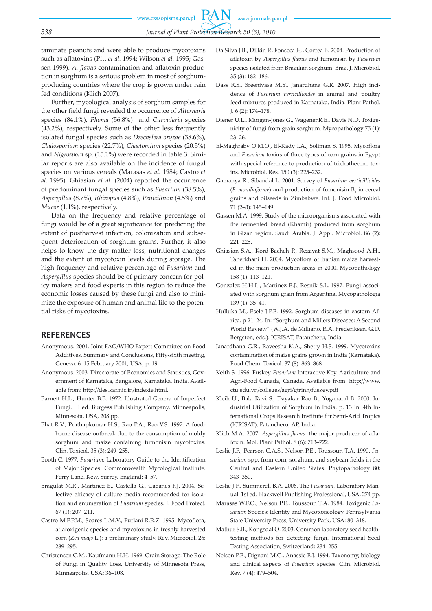taminate peanuts and were able to produce mycotoxins such as aflatoxins (Pitt *et al.* 1994; Wilson *et al.* 1995; Gassen 1999). *A. flavus* contamination and aflatoxin production in sorghum is a serious problem in most of sorghumproducing countries where the crop is grown under rain fed conditions (Klich 2007).

Further, mycological analysis of sorghum samples for the other field fungi revealed the occurrence of *Alternaria* species (84.1%), *Phoma (*56.8%) and *Curvularia* species (43.2%), respectively. Some of the other less frequently isolated fungal species such as *Drechslera oryzae* (38.6%), *Cladosporium* species (22.7%)*, Chaetomium* species (20.5%) and *Nigrospora* sp. (15.1%) were recorded in table 3. Similar reports are also available on the incidence of fungal species on various cereals (Marasas *et al.* 1984; Castro *et al.* 1995). Ghiasian *et al.* (2004) reported the occurrence of predominant fungal species such as *Fusarium* (38.5%), *Aspergillus* (8.7%), *Rhizopus* (4.8%), *Penicillium* (4.5%) and *Mucor* (1.1%), respectively.

Data on the frequency and relative percentage of fungi would be of a great significance for predicting the extent of postharvest infection, colonization and subsequent deterioration of sorghum grains. Further, it also helps to know the dry matter loss, nutritional changes and the extent of mycotoxin levels during storage. The high frequency and relative percentage of *Fusarium* and *Aspergillus* species should be of primary concern for policy makers and food experts in this region to reduce the economic losses caused by these fungi and also to minimize the exposure of human and animal life to the potential risks of mycotoxins.

# **REFERENCES**

- Anonymous. 2001. Joint FAO/WHO Expert Committee on Food Additives. Summary and Conclusions, Fifty-sixth meeting, Geneva. 6–15 February 2001, USA, p. 19.
- Anonymous. 2003. Directorate of Economics and Statistics, Government of Karnataka, Bangalore, Karnataka, India. Available from: http://des.kar.nic.in/indexie.html.
- Barnett H.L., Hunter B.B. 1972. Illustrated Genera of Imperfect Fungi. III ed. Burgess Publishing Company, Minneapolis, Minnesota, USA, 208 pp.
- Bhat R.V., Prathapkumar H.S., Rao P.A., Rao V.S. 1997. A foodborne disease outbreak due to the consumption of moldy sorghum and maize containing fumonisin mycotoxins. Clin. Toxicol. 35 (3): 249–255.
- Booth C. 1977. *Fusarium*: Laboratory Guide to the Identification of Major Species. Commonwealth Mycological Institute. Ferry Lane. Kew, Surrey, England: 4–57.
- Bragulat M.R., Martinez E., Castella G., Cabanes F.J. 2004. Selective efficacy of culture media recommended for isolation and enumeration of *Fusarium* species. J. Food Protect. 67 (1): 207–211.
- Castro M.F.P.M., Soares L.M.V., Furlani R.R.Z. 1995. Mycoflora, aflatoxigenic species and mycotoxins in freshly harvested corn (*Zea mays* L.): a preliminary study. Rev. Microbiol. 26: 289–295.
- Christensen C.M., Kaufmann H.H. 1969. Grain Storage: The Role of Fungi in Quality Loss. University of Minnesota Press, Minneapolis, USA: 36–108.
- Da Silva J.B., Dilkin P., Fonseca H., Correa B. 2004. Production of aflatoxin by *Aspergillus flavus* and fumonisin by *Fusarium*  species isolated from Brazilian sorghum. Braz. J. Microbiol. 35 (3): 182–186.
- Dass R.S., Sreenivasa M.Y., Janardhana G.R. 2007. High incidence of *Fusarium verticillioides* in animal and poultry feed mixtures produced in Karnataka, India. Plant Pathol. J. 6 (2): 174–178.
- Diener U.L., Morgan-Jones G., Wagener R.E., Davis N.D. Toxigenicity of fungi from grain sorghum. Mycopathology 75 (1): 23–26.
- El-Maghraby O.M.O., El-Kady I.A., Soliman S. 1995. Mycoflora and *Fusarium* toxins of three types of corn grains in Egypt with special reference to production of trichothecene toxins. Microbiol. Res. 150 (3): 225–232.
- Gamanya R., Sibandal L. 2001. Survey of *Fusarium verticillioides*  $(F.$  *monilioforme*) and production of fumonisin  $B_1$  in cereal grains and oilseeds in Zimbabwe. Int. J. Food Microbiol. 71 (2–3): 145–149.
- Gassen M.A. 1999. Study of the microorganisms associated with the fermented bread (Khamir) produced from sorghum in Gizan region, Saudi Arabia. J. Appl. Microbiol. 86 (2): 221–225.
- Ghiasian S.A., Kord-Bacheh P., Rezayat S.M., Maghsood A.H., Taherkhani H. 2004. Mycoflora of Iranian maize harvested in the main production areas in 2000. Mycopathology 158 (1): 113–121.
- Gonzalez H.H.L., Martinez E.J., Resnik S.L. 1997. Fungi associated with sorghum grain from Argentina. Mycopathologia 139 (1): 35–41.
- Hulluka M., Esele J.P.E. 1992. Sorghum diseases in eastern Africa. p 21–24. In: "Sorghum and Millets Diseases: A Second World Review" (W.J.A. de Milliano, R.A. Frederiksen, G.D. Bergston, eds.). ICRISAT, Patancheru, India.
- Janardhana G.R., Raveesha K.A., Shetty H.S. 1999. Mycotoxins contamination of maize grains grown in India (Karnataka). Food Chem. Toxicol. 37 (8): 863–868.
- Keith S. 1996. Fuskey*-Fusarium* Interactive Key. Agriculture and Agri-Food Canada, Canada. Available from: http://www. ctu.edu.vn/colleges/agri/gtrinh/fuskey.pdf
- Kleih U., Bala Ravi S., Dayakar Rao B., Yoganand B. 2000. Industrial Utilization of Sorghum in India. p. 13 In: 4th International Crops Research Institute for Semi-Arid Tropics (ICRISAT), Patancheru, AP, India.
- Klich M.A. 2007. *Aspergillus flavus*: the major producer of aflatoxin. Mol. Plant Pathol. 8 (6): 713–722.
- Leslie J.F., Pearson C.A.S., Nelson P.E., Toussoun T.A. 1990. *Fusarium* spp. from corn, sorghum, and soybean fields in the Central and Eastern United States. Phytopathology 80: 343–350.
- Leslie J.F., Summerell B.A. 2006. The *Fusarium,* Laboratory Manual. 1st ed. Blackwell Publishing Professional, USA, 274 pp.
- Marasas W.F.O., Nelson P.E., Toussoun T.A. 1984. Toxigenic *Fusarium* Species: Identity and Mycotoxicology. Pennsylvania State University Press, University Park, USA: 80–318.
- Mathur S.B., Kongsdal O. 2003. Common laboratory seed healthtesting methods for detecting fungi. International Seed Testing Association, Switzerland: 234–255.
- Nelson P.E., Dignani M.C., Anassie E.J. 1994. Taxonomy, biology and clinical aspects of *Fusarium* species. Clin. Microbiol. Rev. 7 (4): 479–504.